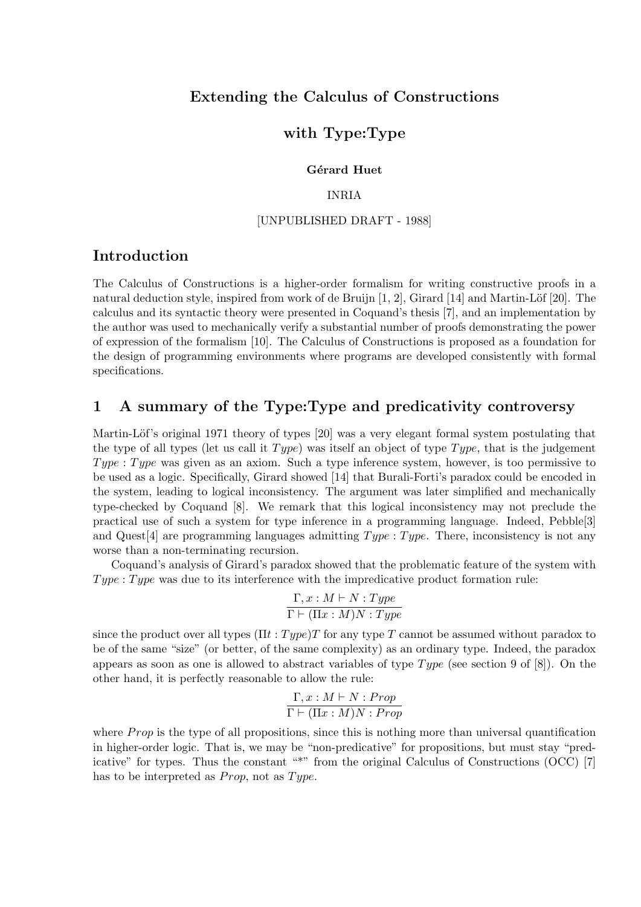# Extending the Calculus of Constructions

# with Type:Type

### Gérard Huet

### INRIA

### [UNPUBLISHED DRAFT - 1988]

# Introduction

The Calculus of Constructions is a higher-order formalism for writing constructive proofs in a natural deduction style, inspired from work of de Bruijn  $[1, 2]$ , Girard  $[14]$  and Martin-Löf  $[20]$ . The calculus and its syntactic theory were presented in Coquand's thesis [7], and an implementation by the author was used to mechanically verify a substantial number of proofs demonstrating the power of expression of the formalism [10]. The Calculus of Constructions is proposed as a foundation for the design of programming environments where programs are developed consistently with formal specifications.

# 1 A summary of the Type:Type and predicativity controversy

Martin-Löf's original 1971 theory of types [20] was a very elegant formal system postulating that the type of all types (let us call it  $Type$ ) was itself an object of type  $Type$ , that is the judgement Type : Type was given as an axiom. Such a type inference system, however, is too permissive to be used as a logic. Specifically, Girard showed [14] that Burali-Forti's paradox could be encoded in the system, leading to logical inconsistency. The argument was later simplified and mechanically type-checked by Coquand [8]. We remark that this logical inconsistency may not preclude the practical use of such a system for type inference in a programming language. Indeed, Pebble[3] and Quest<sup>[4]</sup> are programming languages admitting  $Type: Type$ . There, inconsistency is not any worse than a non-terminating recursion.

Coquand's analysis of Girard's paradox showed that the problematic feature of the system with  $Type: Type$  was due to its interference with the impredicative product formation rule:

$$
\frac{\Gamma, x: M \vdash N: Type}{\Gamma \vdash (\Pi x: M)N: Type}
$$

since the product over all types  $(\Pi t : Type)T$  for any type T cannot be assumed without paradox to be of the same "size" (or better, of the same complexity) as an ordinary type. Indeed, the paradox appears as soon as one is allowed to abstract variables of type Type (see section 9 of  $[8]$ ). On the other hand, it is perfectly reasonable to allow the rule:

$$
\frac{\Gamma, x : M \vdash N : Prop}{\Gamma \vdash (\Pi x : M)N : Prop}
$$

where  $Prop$  is the type of all propositions, since this is nothing more than universal quantification in higher-order logic. That is, we may be "non-predicative" for propositions, but must stay "predicative" for types. Thus the constant "\*" from the original Calculus of Constructions (OCC) [7] has to be interpreted as *Prop*, not as  $Type$ .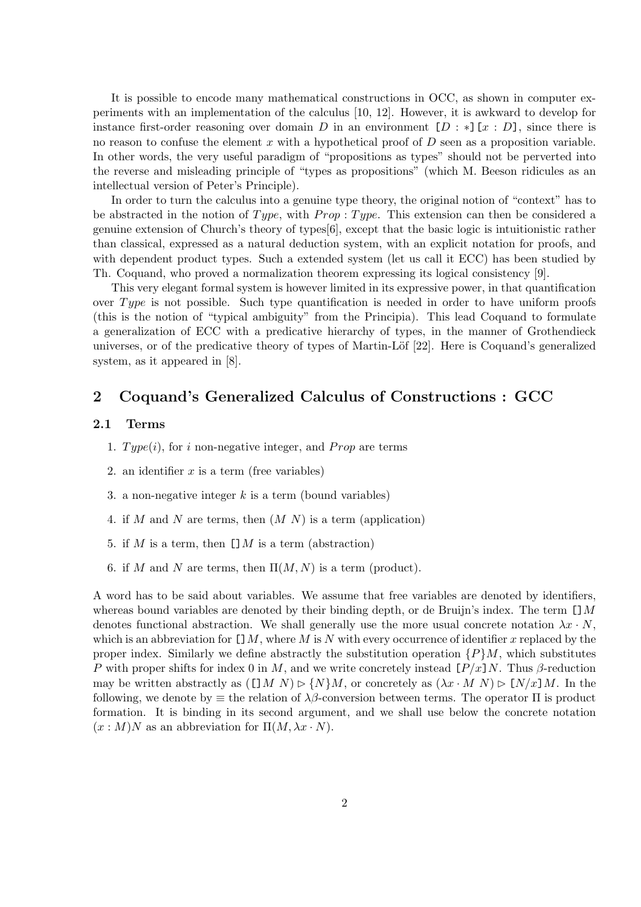It is possible to encode many mathematical constructions in OCC, as shown in computer experiments with an implementation of the calculus [10, 12]. However, it is awkward to develop for instance first-order reasoning over domain D in an environment  $[D : *] [x : D]$ , since there is no reason to confuse the element x with a hypothetical proof of  $D$  seen as a proposition variable. In other words, the very useful paradigm of "propositions as types" should not be perverted into the reverse and misleading principle of "types as propositions" (which M. Beeson ridicules as an intellectual version of Peter's Principle).

In order to turn the calculus into a genuine type theory, the original notion of "context" has to be abstracted in the notion of Type, with  $Prop: Type$ . This extension can then be considered a genuine extension of Church's theory of types[6], except that the basic logic is intuitionistic rather than classical, expressed as a natural deduction system, with an explicit notation for proofs, and with dependent product types. Such a extended system (let us call it ECC) has been studied by Th. Coquand, who proved a normalization theorem expressing its logical consistency [9].

This very elegant formal system is however limited in its expressive power, in that quantification over  $Type$  is not possible. Such type quantification is needed in order to have uniform proofs (this is the notion of "typical ambiguity" from the Principia). This lead Coquand to formulate a generalization of ECC with a predicative hierarchy of types, in the manner of Grothendieck universes, or of the predicative theory of types of Martin-Löf [22]. Here is Coquand's generalized system, as it appeared in [8].

# 2 Coquand's Generalized Calculus of Constructions : GCC

### 2.1 Terms

- 1.  $Type(i)$ , for i non-negative integer, and *Prop* are terms
- 2. an identifier  $x$  is a term (free variables)
- 3. a non-negative integer  $k$  is a term (bound variables)
- 4. if M and N are terms, then  $(M N)$  is a term (application)
- 5. if M is a term, then  $\Box M$  is a term (abstraction)
- 6. if M and N are terms, then  $\Pi(M, N)$  is a term (product).

A word has to be said about variables. We assume that free variables are denoted by identifiers, whereas bound variables are denoted by their binding depth, or de Bruijn's index. The term  $\Box M$ denotes functional abstraction. We shall generally use the more usual concrete notation  $\lambda x \cdot N$ , which is an abbreviation for  $[] M$ , where M is N with every occurrence of identifier x replaced by the proper index. Similarly we define abstractly the substitution operation  $\{P\}M$ , which substitutes P with proper shifts for index 0 in M, and we write concretely instead  $[P/x]N$ . Thus β-reduction may be written abstractly as  $([M N) \triangleright \{N\}M$ , or concretely as  $(\lambda x \cdot M N) \triangleright [N/x]M$ . In the following, we denote by  $\equiv$  the relation of  $\lambda\beta$ -conversion between terms. The operator  $\Pi$  is product formation. It is binding in its second argument, and we shall use below the concrete notation  $(x : M)N$  as an abbreviation for  $\Pi(M, \lambda x \cdot N)$ .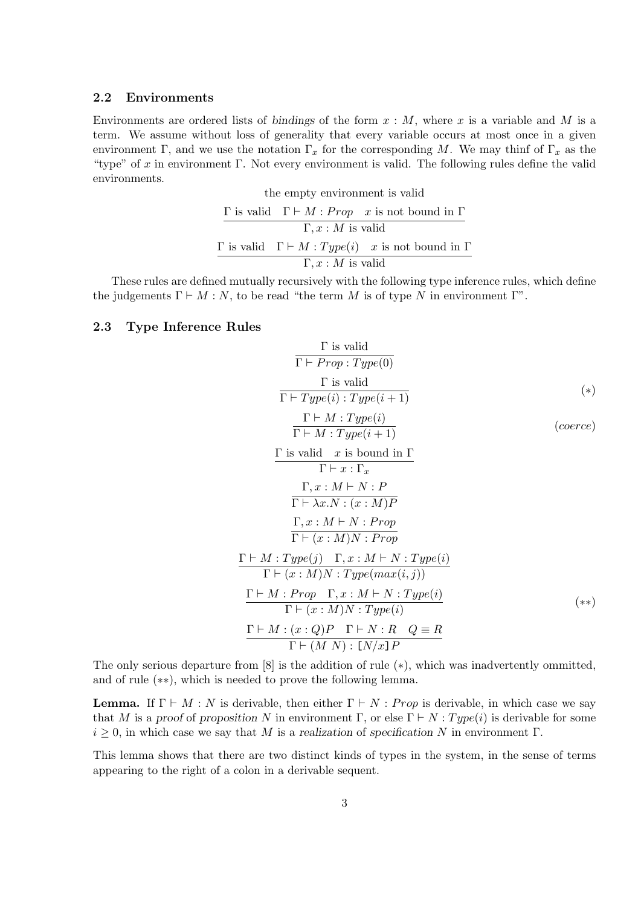#### 2.2 Environments

Environments are ordered lists of bindings of the form  $x : M$ , where x is a variable and M is a term. We assume without loss of generality that every variable occurs at most once in a given environment Γ, and we use the notation  $\Gamma_x$  for the corresponding M. We may thinf of  $\Gamma_x$  as the "type" of x in environment Γ. Not every environment is valid. The following rules define the valid environments.

| $\Gamma, x : M$ is valid       |  |                                                                                 |  |  |
|--------------------------------|--|---------------------------------------------------------------------------------|--|--|
|                                |  | $\Gamma$ is valid $\Gamma \vdash M : Type(i)$ x is not bound in $\Gamma$        |  |  |
| $\Gamma, x : M$ is valid       |  |                                                                                 |  |  |
|                                |  | $\Gamma$ is valid $\Gamma \vdash M : Prop \mathcal{X}$ is not bound in $\Gamma$ |  |  |
| the empty environment is valid |  |                                                                                 |  |  |

These rules are defined mutually recursively with the following type inference rules, which define the judgements  $\Gamma \vdash M : N$ , to be read "the term M is of type N in environment  $\Gamma$ ".

## 2.3 Type Inference Rules

$$
\frac{\Gamma \text{ is valid}}{\Gamma \vdash Prop : Type(0)}
$$
\n
$$
\frac{\Gamma \text{ is valid}}{\Gamma \vdash Type(i) : Type(i+1)}
$$
\n(\*)

$$
\frac{\Gamma \vdash M : Type(i)}{\Gamma \vdash M : Type(i+1)}
$$
 (coerce)

$$
\frac{\Gamma \text{ is valid } x \text{ is bound in } \Gamma}{\Gamma \vdash x : \Gamma_x}
$$
\n
$$
\frac{\Gamma, x : M \vdash N : P}{\Gamma \vdash \lambda x . N : (x : M)P}
$$
\n
$$
\frac{\Gamma, x : M \vdash N : Prop}{\Gamma \vdash (x : M)N : Prop}
$$
\n
$$
\frac{\Gamma \vdash M : Type(j) \quad \Gamma, x : M \vdash N : Type(i)}{\Gamma \vdash (x : M)N : Type(max(i, j))}
$$
\n
$$
\frac{\Gamma \vdash M : Prop \quad \Gamma, x : M \vdash N : Type(i)}{\Gamma \vdash (x : M)N : Type(i)} \qquad (*)}
$$
\n
$$
\frac{\Gamma \vdash M : (x : Q)P \quad \Gamma \vdash N : R \quad Q \equiv R}{\Gamma \vdash (M N) : [N/x]P} \qquad (**)
$$

The only serious departure from [8] is the addition of rule (∗), which was inadvertently ommitted, and of rule (∗∗), which is needed to prove the following lemma.

**Lemma.** If  $\Gamma \vdash M : N$  is derivable, then either  $\Gamma \vdash N : Prop$  is derivable, in which case we say that M is a proof of proposition N in environment  $\Gamma$ , or else  $\Gamma \vdash N : Type(i)$  is derivable for some  $i \geq 0$ , in which case we say that M is a realization of specification N in environment  $\Gamma$ .

This lemma shows that there are two distinct kinds of types in the system, in the sense of terms appearing to the right of a colon in a derivable sequent.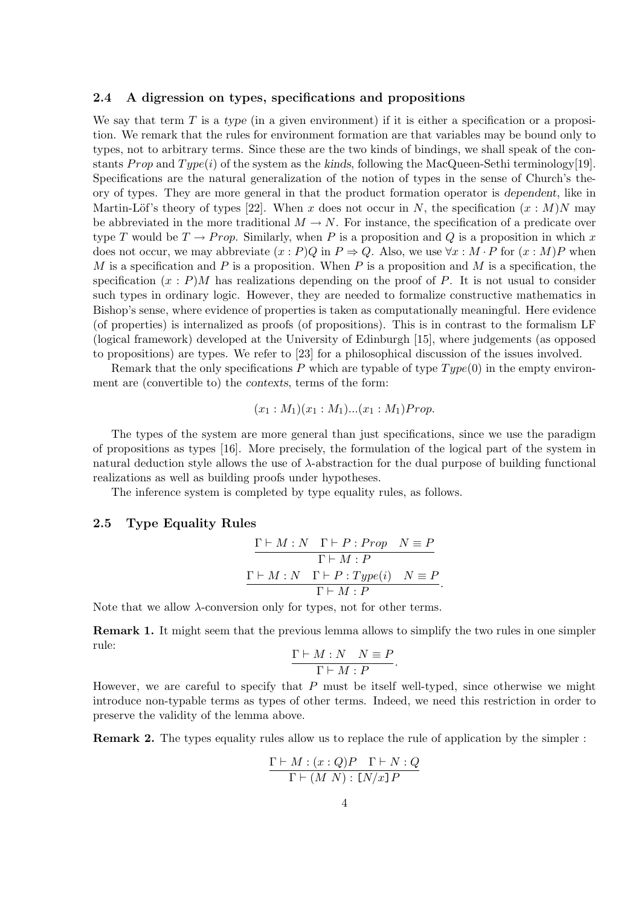#### 2.4 A digression on types, specifications and propositions

We say that term  $T$  is a type (in a given environment) if it is either a specification or a proposition. We remark that the rules for environment formation are that variables may be bound only to types, not to arbitrary terms. Since these are the two kinds of bindings, we shall speak of the constants Prop and Type(i) of the system as the kinds, following the MacQueen-Sethi terminology[19]. Specifications are the natural generalization of the notion of types in the sense of Church's theory of types. They are more general in that the product formation operator is dependent, like in Martin-Löf's theory of types [22]. When x does not occur in N, the specification  $(x : M)N$  may be abbreviated in the more traditional  $M \to N$ . For instance, the specification of a predicate over type T would be  $T \to Prop.$  Similarly, when P is a proposition and Q is a proposition in which x does not occur, we may abbreviate  $(x : P)Q$  in  $P \Rightarrow Q$ . Also, we use  $\forall x : M \cdot P$  for  $(x : M)P$  when M is a specification and P is a proposition. When P is a proposition and M is a specification, the specification  $(x : P)$ M has realizations depending on the proof of P. It is not usual to consider such types in ordinary logic. However, they are needed to formalize constructive mathematics in Bishop's sense, where evidence of properties is taken as computationally meaningful. Here evidence (of properties) is internalized as proofs (of propositions). This is in contrast to the formalism LF (logical framework) developed at the University of Edinburgh [15], where judgements (as opposed to propositions) are types. We refer to [23] for a philosophical discussion of the issues involved.

Remark that the only specifications P which are typable of type  $Type(0)$  in the empty environment are (convertible to) the contexts, terms of the form:

$$
(x_1: M_1)(x_1: M_1)...(x_1: M_1)Prop.
$$

The types of the system are more general than just specifications, since we use the paradigm of propositions as types [16]. More precisely, the formulation of the logical part of the system in natural deduction style allows the use of  $\lambda$ -abstraction for the dual purpose of building functional realizations as well as building proofs under hypotheses.

The inference system is completed by type equality rules, as follows.

## 2.5 Type Equality Rules

$$
\frac{\Gamma \vdash M : N \quad \Gamma \vdash P : Prop \quad N \equiv P}{\Gamma \vdash M : P}
$$

$$
\frac{\Gamma \vdash M : N \quad \Gamma \vdash P : Type(i) \quad N \equiv P}{\Gamma \vdash M : P}.
$$

Note that we allow  $\lambda$ -conversion only for types, not for other terms.

Remark 1. It might seem that the previous lemma allows to simplify the two rules in one simpler rule:

$$
\frac{\Gamma \vdash M : N \quad N \equiv P}{\Gamma \vdash M : P}.
$$

However, we are careful to specify that  $P$  must be itself well-typed, since otherwise we might introduce non-typable terms as types of other terms. Indeed, we need this restriction in order to preserve the validity of the lemma above.

Remark 2. The types equality rules allow us to replace the rule of application by the simpler :

$$
\frac{\Gamma \vdash M : (x:Q)P \quad \Gamma \vdash N : Q}{\Gamma \vdash (M \ N) : [N/x]P}
$$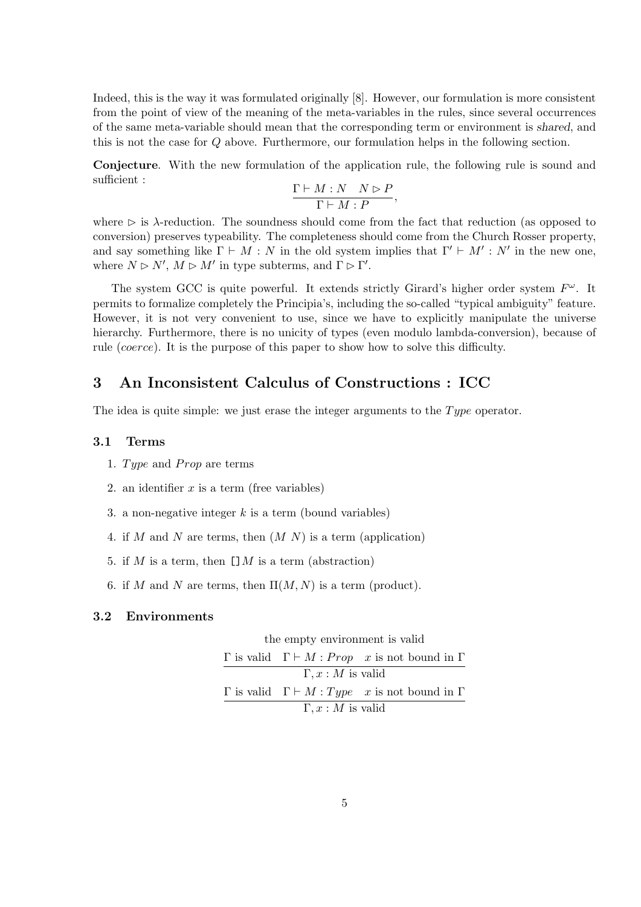Indeed, this is the way it was formulated originally [8]. However, our formulation is more consistent from the point of view of the meaning of the meta-variables in the rules, since several occurrences of the same meta-variable should mean that the corresponding term or environment is shared, and this is not the case for Q above. Furthermore, our formulation helps in the following section.

Conjecture. With the new formulation of the application rule, the following rule is sound and sufficient :

$$
\frac{\Gamma \vdash M : N \quad N \rhd P}{\Gamma \vdash M : P},
$$

where  $\triangleright$  is  $\lambda$ -reduction. The soundness should come from the fact that reduction (as opposed to conversion) preserves typeability. The completeness should come from the Church Rosser property, and say something like  $\Gamma \vdash M : N$  in the old system implies that  $\Gamma' \vdash M' : N'$  in the new one, where  $N \triangleright N'$ ,  $M \triangleright M'$  in type subterms, and  $\Gamma \triangleright \Gamma'$ .

The system GCC is quite powerful. It extends strictly Girard's higher order system  $F^{\omega}$ . It permits to formalize completely the Principia's, including the so-called "typical ambiguity" feature. However, it is not very convenient to use, since we have to explicitly manipulate the universe hierarchy. Furthermore, there is no unicity of types (even modulo lambda-conversion), because of rule (coerce). It is the purpose of this paper to show how to solve this difficulty.

# 3 An Inconsistent Calculus of Constructions : ICC

The idea is quite simple: we just erase the integer arguments to the  $Type$  operator.

## 3.1 Terms

- 1. Type and  $Prop$  are terms
- 2. an identifier  $x$  is a term (free variables)
- 3. a non-negative integer  $k$  is a term (bound variables)
- 4. if M and N are terms, then  $(M N)$  is a term (application)
- 5. if M is a term, then  $\Box M$  is a term (abstraction)
- 6. if M and N are terms, then  $\Pi(M, N)$  is a term (product).

#### 3.2 Environments

the empty environment is valid

|                          |  | $\Gamma$ is valid $\Gamma \vdash M : Prop \mathcal{X}$ is not bound in $\Gamma$       |  |
|--------------------------|--|---------------------------------------------------------------------------------------|--|
| $\Gamma, x : M$ is valid |  |                                                                                       |  |
|                          |  | $\Gamma$ is valid $\Gamma \vdash M : Type \text{ } x \text{ is not bound in } \Gamma$ |  |
| $\Gamma, x : M$ is valid |  |                                                                                       |  |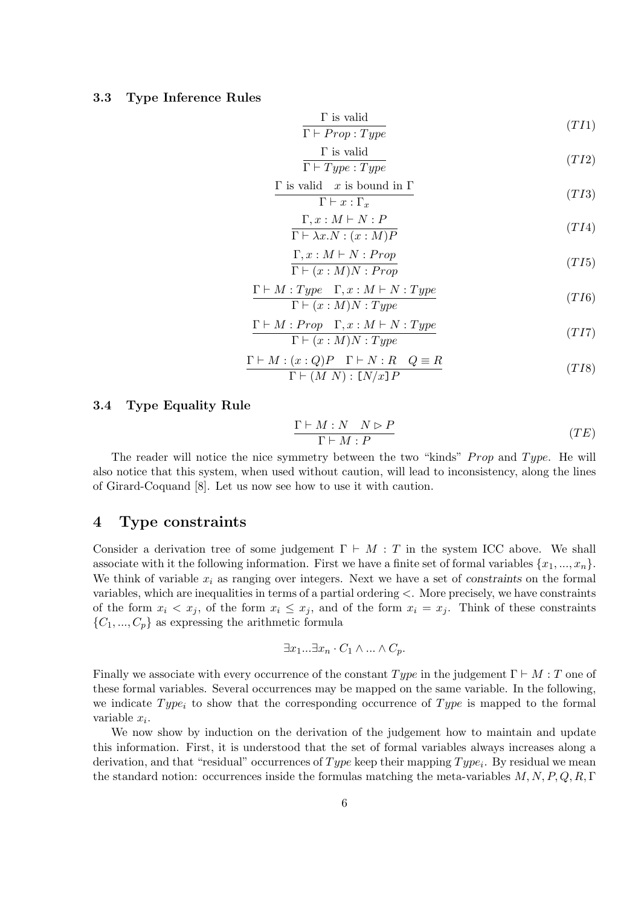#### 3.3 Type Inference Rules

$$
\frac{\Gamma \text{ is valid}}{\Gamma \vdash Prop : Type} \tag{TI1}
$$

$$
\frac{\Gamma \text{ is valid}}{\Gamma \vdash Type : Type}
$$
\n
$$
(TI2)
$$

$$
\frac{\Gamma \text{ is valid } x \text{ is bound in } \Gamma}{\Gamma \vdash x : \Gamma_x} \tag{T13}
$$

$$
\frac{\Gamma, x : M \vdash N : P}{\Gamma \vdash \lambda x. N : (x : M)P} \tag{T14}
$$

$$
\frac{\Gamma, x : M \vdash N : Prop}{\Gamma \vdash (x : M)N : Prop} \tag{T15}
$$

$$
\frac{\Gamma \vdash M : Type \quad \Gamma, x : M \vdash N : Type}{\Gamma \vdash (x : M)N : Type} \tag{T16}
$$

$$
\frac{\Gamma \vdash M : Prop \quad \Gamma, x : M \vdash N : Type}{\Gamma \vdash (x : M)N : Type} \tag{TI7}
$$

$$
\frac{\Gamma \vdash M : (x : Q)P \quad \Gamma \vdash N : R \quad Q \equiv R}{\Gamma \vdash (M \ N) : [N/x]P} \tag{T18}
$$

## 3.4 Type Equality Rule

$$
\frac{\Gamma \vdash M : N \quad N \rhd P}{\Gamma \vdash M : P} \tag{TE}
$$

The reader will notice the nice symmetry between the two "kinds" *Prop* and  $Type$ . He will also notice that this system, when used without caution, will lead to inconsistency, along the lines of Girard-Coquand [8]. Let us now see how to use it with caution.

## 4 Type constraints

Consider a derivation tree of some judgement  $\Gamma \vdash M : T$  in the system ICC above. We shall associate with it the following information. First we have a finite set of formal variables  $\{x_1, ..., x_n\}$ . We think of variable  $x_i$  as ranging over integers. Next we have a set of constraints on the formal variables, which are inequalities in terms of a partial ordering <. More precisely, we have constraints of the form  $x_i < x_j$ , of the form  $x_i \leq x_j$ , and of the form  $x_i = x_j$ . Think of these constraints  $\{C_1, ..., C_p\}$  as expressing the arithmetic formula

$$
\exists x_1...\exists x_n\cdot C_1\wedge...\wedge C_p.
$$

Finally we associate with every occurrence of the constant  $Type$  in the judgement  $\Gamma \vdash M : T$  one of these formal variables. Several occurrences may be mapped on the same variable. In the following, we indicate  $Type_i$  to show that the corresponding occurrence of  $Type$  is mapped to the formal variable  $x_i$ .

We now show by induction on the derivation of the judgement how to maintain and update this information. First, it is understood that the set of formal variables always increases along a derivation, and that "residual" occurrences of  $Type$  keep their mapping  $Type_i$ . By residual we mean the standard notion: occurrences inside the formulas matching the meta-variables  $M, N, P, Q, R, \Gamma$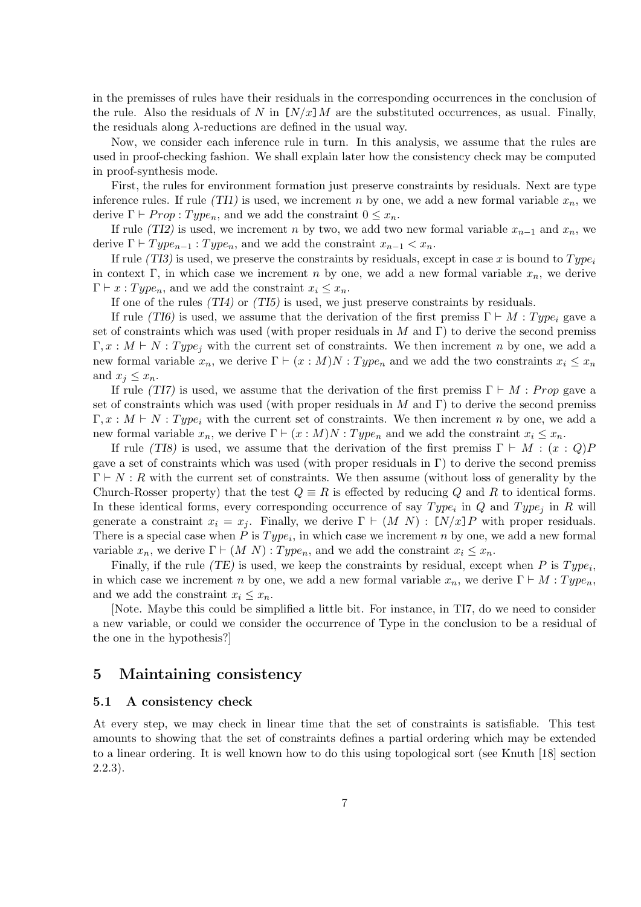in the premisses of rules have their residuals in the corresponding occurrences in the conclusion of the rule. Also the residuals of N in  $\left[N/x\right]M$  are the substituted occurrences, as usual. Finally, the residuals along  $\lambda$ -reductions are defined in the usual way.

Now, we consider each inference rule in turn. In this analysis, we assume that the rules are used in proof-checking fashion. We shall explain later how the consistency check may be computed in proof-synthesis mode.

First, the rules for environment formation just preserve constraints by residuals. Next are type inference rules. If rule (TI1) is used, we increment n by one, we add a new formal variable  $x_n$ , we derive  $\Gamma \vdash Prop : Type_n$ , and we add the constraint  $0 \leq x_n$ .

If rule (TI2) is used, we increment n by two, we add two new formal variable  $x_{n-1}$  and  $x_n$ , we derive  $\Gamma \vdash Type_{n-1} : Type_n$ , and we add the constraint  $x_{n-1} < x_n$ .

If rule (TI3) is used, we preserve the constraints by residuals, except in case x is bound to  $Type_i$ in context Γ, in which case we increment *n* by one, we add a new formal variable  $x_n$ , we derive  $\Gamma \vdash x : Type_n$ , and we add the constraint  $x_i \leq x_n$ .

If one of the rules  $(TI4)$  or  $(TI5)$  is used, we just preserve constraints by residuals.

If rule (TI6) is used, we assume that the derivation of the first premiss  $\Gamma \vdash M : Type_i$  gave a set of constraints which was used (with proper residuals in M and Γ) to derive the second premiss  $\Gamma, x : M \vdash N : Type_i$  with the current set of constraints. We then increment n by one, we add a new formal variable  $x_n$ , we derive  $\Gamma \vdash (x : M)N : Type_n$  and we add the two constraints  $x_i \leq x_n$ and  $x_i \leq x_n$ .

If rule (TI7) is used, we assume that the derivation of the first premiss  $\Gamma \vdash M : Prop$  gave a set of constraints which was used (with proper residuals in M and Γ) to derive the second premiss  $\Gamma, x : M \vdash N : Type_i$  with the current set of constraints. We then increment n by one, we add a new formal variable  $x_n$ , we derive  $\Gamma \vdash (x : M)N : Type_n$  and we add the constraint  $x_i \leq x_n$ .

If rule (TI8) is used, we assume that the derivation of the first premiss  $\Gamma \vdash M : (x : Q)P$ gave a set of constraints which was used (with proper residuals in  $\Gamma$ ) to derive the second premiss  $\Gamma \vdash N : R$  with the current set of constraints. We then assume (without loss of generality by the Church-Rosser property) that the test  $Q \equiv R$  is effected by reducing Q and R to identical forms. In these identical forms, every corresponding occurrence of say  $Type_i$  in Q and  $Type_j$  in R will generate a constraint  $x_i = x_j$ . Finally, we derive  $\Gamma \vdash (M \ N) : [N/x]P$  with proper residuals. There is a special case when P is  $Type_i$ , in which case we increment n by one, we add a new formal variable  $x_n$ , we derive  $\Gamma \vdash (M \ N) : Type_n$ , and we add the constraint  $x_i \leq x_n$ .

Finally, if the rule (TE) is used, we keep the constraints by residual, except when P is  $Type_i$ , in which case we increment n by one, we add a new formal variable  $x_n$ , we derive  $\Gamma \vdash M : Type_n$ , and we add the constraint  $x_i \leq x_n$ .

[Note. Maybe this could be simplified a little bit. For instance, in TI7, do we need to consider a new variable, or could we consider the occurrence of Type in the conclusion to be a residual of the one in the hypothesis?]

## 5 Maintaining consistency

### 5.1 A consistency check

At every step, we may check in linear time that the set of constraints is satisfiable. This test amounts to showing that the set of constraints defines a partial ordering which may be extended to a linear ordering. It is well known how to do this using topological sort (see Knuth [18] section 2.2.3).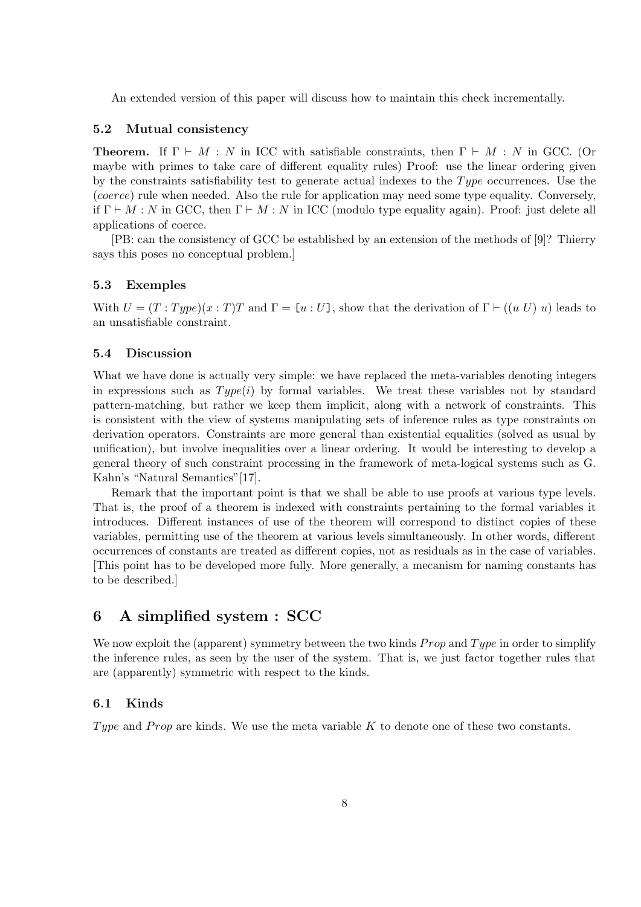An extended version of this paper will discuss how to maintain this check incrementally.

## 5.2 Mutual consistency

**Theorem.** If  $\Gamma \vdash M : N$  in ICC with satisfiable constraints, then  $\Gamma \vdash M : N$  in GCC. (Or maybe with primes to take care of different equality rules) Proof: use the linear ordering given by the constraints satisfiability test to generate actual indexes to the  $Type$  occurrences. Use the (coerce) rule when needed. Also the rule for application may need some type equality. Conversely, if  $\Gamma \vdash M : N$  in GCC, then  $\Gamma \vdash M : N$  in ICC (modulo type equality again). Proof: just delete all applications of coerce.

[PB: can the consistency of GCC be established by an extension of the methods of [9]? Thierry says this poses no conceptual problem.]

### 5.3 Exemples

With  $U = (T : Type)(x : T)T$  and  $\Gamma = [u : U]$ , show that the derivation of  $\Gamma \vdash ((u U) u)$  leads to an unsatisfiable constraint.

### 5.4 Discussion

What we have done is actually very simple: we have replaced the meta-variables denoting integers in expressions such as  $Type(i)$  by formal variables. We treat these variables not by standard pattern-matching, but rather we keep them implicit, along with a network of constraints. This is consistent with the view of systems manipulating sets of inference rules as type constraints on derivation operators. Constraints are more general than existential equalities (solved as usual by unification), but involve inequalities over a linear ordering. It would be interesting to develop a general theory of such constraint processing in the framework of meta-logical systems such as G. Kahn's "Natural Semantics"[17].

Remark that the important point is that we shall be able to use proofs at various type levels. That is, the proof of a theorem is indexed with constraints pertaining to the formal variables it introduces. Different instances of use of the theorem will correspond to distinct copies of these variables, permitting use of the theorem at various levels simultaneously. In other words, different occurrences of constants are treated as different copies, not as residuals as in the case of variables. [This point has to be developed more fully. More generally, a mecanism for naming constants has to be described.]

# 6 A simplified system : SCC

We now exploit the (apparent) symmetry between the two kinds  $Prop$  and  $Type$  in order to simplify the inference rules, as seen by the user of the system. That is, we just factor together rules that are (apparently) symmetric with respect to the kinds.

### 6.1 Kinds

Type and Prop are kinds. We use the meta variable  $K$  to denote one of these two constants.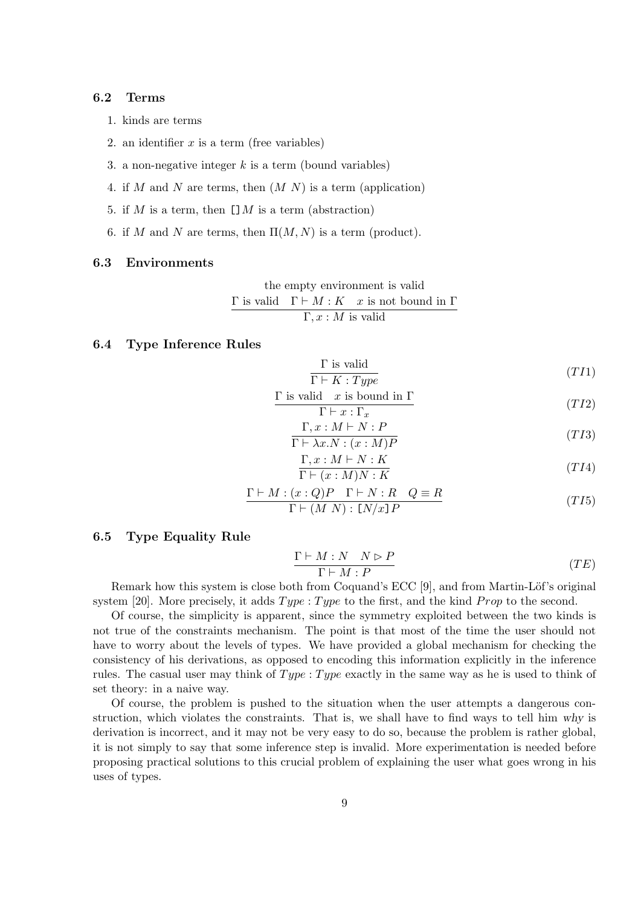#### 6.2 Terms

- 1. kinds are terms
- 2. an identifier  $x$  is a term (free variables)
- 3. a non-negative integer  $k$  is a term (bound variables)
- 4. if M and N are terms, then  $(M N)$  is a term (application)
- 5. if M is a term, then  $\Box M$  is a term (abstraction)
- 6. if M and N are terms, then  $\Pi(M, N)$  is a term (product).

#### 6.3 Environments

the empty environment is valid  
\n
$$
\frac{\Gamma \text{ is valid} \quad \Gamma \vdash M : K \quad x \text{ is not bound in } \Gamma}{\Gamma, x : M \text{ is valid}}
$$

#### 6.4 Type Inference Rules

$$
\frac{\Gamma \text{ is valid}}{\Gamma \vdash K : Type} \tag{TI1}
$$

$$
\frac{\Gamma \text{ is valid } x \text{ is bound in } \Gamma}{\Gamma \vdash x : \Gamma_x} \tag{TI2}
$$

$$
\frac{\Gamma, x : M \vdash N : P}{\Gamma \vdash \lambda x. N : (x : M)P}
$$
\n
$$
(T I3)
$$

$$
\frac{\Gamma, x : M \vdash N : K}{\Gamma \vdash (x : M)N : K}
$$
\n
$$
(T I4)
$$

$$
\frac{\Gamma \vdash M : (x : Q)P \quad \Gamma \vdash N : R \quad Q \equiv R}{\Gamma \vdash (M \ N) : [N/x]P} \tag{T15}
$$

### 6.5 Type Equality Rule

$$
\frac{\Gamma \vdash M : N \quad N \rhd P}{\Gamma \vdash M : P} \tag{TE}
$$

Remark how this system is close both from Coquand's ECC  $[9]$ , and from Martin-Löf's original system [20]. More precisely, it adds  $Type: Type$  to the first, and the kind *Prop* to the second.

Of course, the simplicity is apparent, since the symmetry exploited between the two kinds is not true of the constraints mechanism. The point is that most of the time the user should not have to worry about the levels of types. We have provided a global mechanism for checking the consistency of his derivations, as opposed to encoding this information explicitly in the inference rules. The casual user may think of  $Type: Type$  exactly in the same way as he is used to think of set theory: in a naive way.

Of course, the problem is pushed to the situation when the user attempts a dangerous construction, which violates the constraints. That is, we shall have to find ways to tell him why is derivation is incorrect, and it may not be very easy to do so, because the problem is rather global, it is not simply to say that some inference step is invalid. More experimentation is needed before proposing practical solutions to this crucial problem of explaining the user what goes wrong in his uses of types.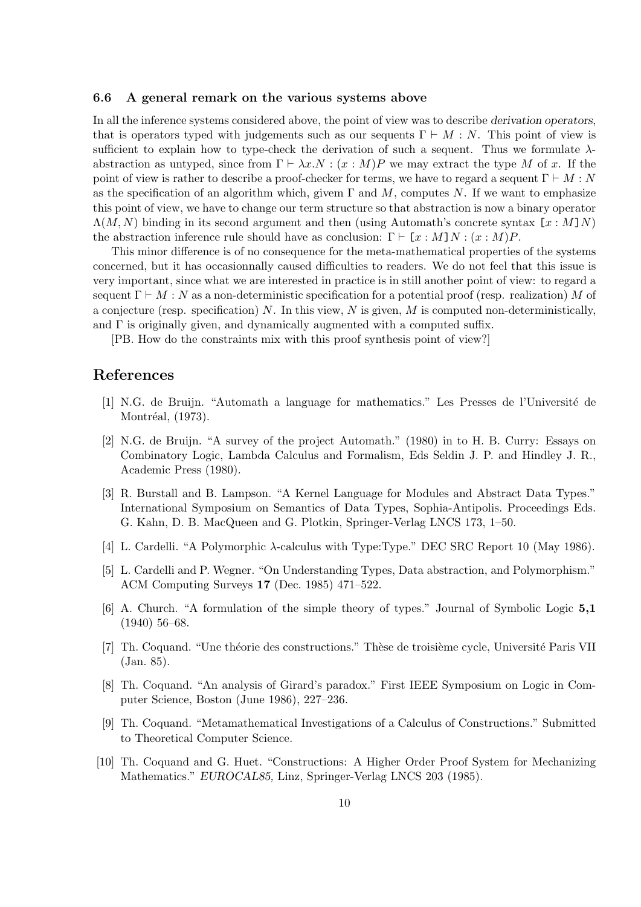#### 6.6 A general remark on the various systems above

In all the inference systems considered above, the point of view was to describe derivation operators, that is operators typed with judgements such as our sequents  $\Gamma \vdash M : N$ . This point of view is sufficient to explain how to type-check the derivation of such a sequent. Thus we formulate  $\lambda$ abstraction as untyped, since from  $\Gamma \vdash \lambda x.N : (x : M)P$  we may extract the type M of x. If the point of view is rather to describe a proof-checker for terms, we have to regard a sequent  $\Gamma \vdash M : N$ as the specification of an algorithm which, givem  $\Gamma$  and  $M$ , computes N. If we want to emphasize this point of view, we have to change our term structure so that abstraction is now a binary operator  $\Lambda(M, N)$  binding in its second argument and then (using Automath's concrete syntax  $[x : M]N$ ) the abstraction inference rule should have as conclusion:  $\Gamma \vdash [x : M]N : (x : M)P$ .

This minor difference is of no consequence for the meta-mathematical properties of the systems concerned, but it has occasionnally caused difficulties to readers. We do not feel that this issue is very important, since what we are interested in practice is in still another point of view: to regard a sequent  $\Gamma \vdash M : N$  as a non-deterministic specification for a potential proof (resp. realization) M of a conjecture (resp. specification) N. In this view,  $N$  is given,  $M$  is computed non-deterministically, and  $\Gamma$  is originally given, and dynamically augmented with a computed suffix.

[PB. How do the constraints mix with this proof synthesis point of view?]

# References

- [1] N.G. de Bruijn. "Automath a language for mathematics." Les Presses de l'Universit´e de Montréal, (1973).
- [2] N.G. de Bruijn. "A survey of the project Automath." (1980) in to H. B. Curry: Essays on Combinatory Logic, Lambda Calculus and Formalism, Eds Seldin J. P. and Hindley J. R., Academic Press (1980).
- [3] R. Burstall and B. Lampson. "A Kernel Language for Modules and Abstract Data Types." International Symposium on Semantics of Data Types, Sophia-Antipolis. Proceedings Eds. G. Kahn, D. B. MacQueen and G. Plotkin, Springer-Verlag LNCS 173, 1–50.
- [4] L. Cardelli. "A Polymorphic λ-calculus with Type:Type." DEC SRC Report 10 (May 1986).
- [5] L. Cardelli and P. Wegner. "On Understanding Types, Data abstraction, and Polymorphism." ACM Computing Surveys 17 (Dec. 1985) 471–522.
- [6] A. Church. "A formulation of the simple theory of types." Journal of Symbolic Logic 5,1 (1940) 56–68.
- [7] Th. Coquand. "Une théorie des constructions." Thèse de troisième cycle, Université Paris VII (Jan. 85).
- [8] Th. Coquand. "An analysis of Girard's paradox." First IEEE Symposium on Logic in Computer Science, Boston (June 1986), 227–236.
- [9] Th. Coquand. "Metamathematical Investigations of a Calculus of Constructions." Submitted to Theoretical Computer Science.
- [10] Th. Coquand and G. Huet. "Constructions: A Higher Order Proof System for Mechanizing Mathematics." EUROCAL85, Linz, Springer-Verlag LNCS 203 (1985).